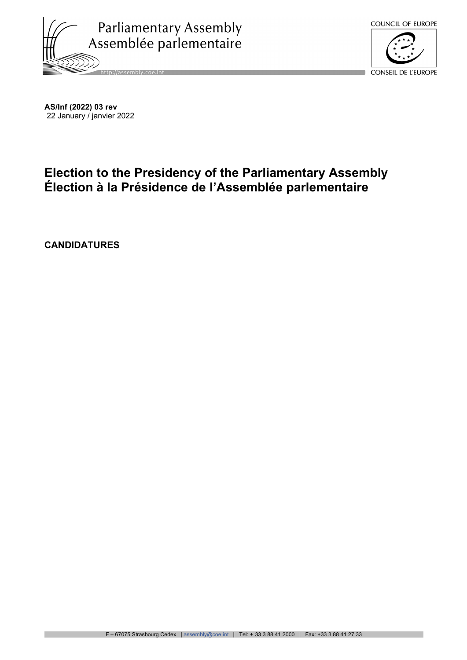



**AS/Inf (2022) 03 rev** 22 January / janvier 2022

## **Election to the Presidency of the Parliamentary Assembly Élection à la Présidence de l'Assemblée parlementaire**

**CANDIDATURES**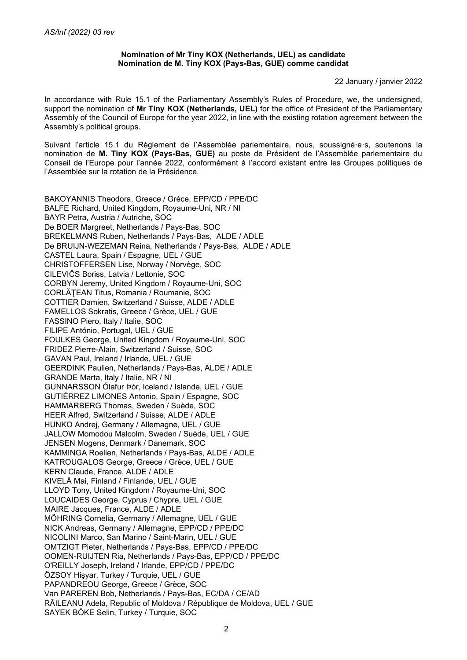## **Nomination of Mr Tiny KOX (Netherlands, UEL) as candidate Nomination de M. Tiny KOX (Pays-Bas, GUE) comme candidat**

22 January / janvier 2022

In accordance with Rule 15.1 of the Parliamentary Assembly's Rules of Procedure, we, the undersigned, support the nomination of **Mr Tiny KOX (Netherlands, UEL)** for the office of President of the Parliamentary Assembly of the Council of Europe for the year 2022, in line with the existing rotation agreement between the Assembly's political groups.

Suivant l'article 15.1 du Règlement de l'Assemblée parlementaire, nous, soussigné·e·s, soutenons la nomination de **M. Tiny KOX (Pays-Bas, GUE)** au poste de Président de l'Assemblée parlementaire du Conseil de l'Europe pour l'année 2022, conformément à l'accord existant entre les Groupes politiques de l'Assemblée sur la rotation de la Présidence.

BAKOYANNIS Theodora, Greece / Grèce, EPP/CD / PPE/DC BALFE Richard, United Kingdom, Royaume-Uni, NR / NI BAYR Petra, Austria / Autriche, SOC De BOER Margreet, Netherlands / Pays-Bas, SOC BREKELMANS Ruben, Netherlands / Pays-Bas, ALDE / ADLE De BRUIJN-WEZEMAN Reina, Netherlands / Pays-Bas, ALDE / ADLE CASTEL Laura, Spain / Espagne, UEL / GUE CHRISTOFFERSEN Lise, Norway / Norvège, SOC CILEVIČS Boriss, Latvia / Lettonie, SOC CORBYN Jeremy, United Kingdom / Royaume-Uni, SOC CORLĂŢEAN Titus, Romania / Roumanie, SOC COTTIER Damien, Switzerland / Suisse, ALDE / ADLE FAMELLOS Sokratis, Greece / Grèce, UEL / GUE FASSINO Piero, Italy / Italie, SOC FILIPE António, Portugal, UEL / GUE FOULKES George, United Kingdom / Royaume-Uni, SOC FRIDEZ Pierre-Alain, Switzerland / Suisse, SOC GAVAN Paul, Ireland / Irlande, UEL / GUE GEERDINK Paulien, Netherlands / Pays-Bas, ALDE / ADLE GRANDE Marta, Italy / Italie, NR / NI GUNNARSSON Ólafur Þór, Iceland / Islande, UEL / GUE GUTIÉRREZ LIMONES Antonio, Spain / Espagne, SOC HAMMARBERG Thomas, Sweden / Suède, SOC HEER Alfred, Switzerland / Suisse, ALDE / ADLE HUNKO Andrej, Germany / Allemagne, UEL / GUE JALLOW Momodou Malcolm, Sweden / Suède, UEL / GUE JENSEN Mogens, Denmark / Danemark, SOC KAMMINGA Roelien, Netherlands / Pays-Bas, ALDE / ADLE KATROUGALOS George, Greece / Grèce, UEL / GUE KERN Claude, France, ALDE / ADLE KIVELÄ Mai, Finland / Finlande, UEL / GUE LLOYD Tony, United Kingdom / Royaume-Uni, SOC LOUCAIDES George, Cyprus / Chypre, UEL / GUE MAIRE Jacques, France, ALDE / ADLE MÖHRING Cornelia, Germany / Allemagne, UEL / GUE NICK Andreas, Germany / Allemagne, EPP/CD / PPE/DC NICOLINI Marco, San Marino / Saint-Marin, UEL / GUE OMTZIGT Pieter, Netherlands / Pays-Bas, EPP/CD / PPE/DC OOMEN-RUIJTEN Ria, Netherlands / Pays-Bas, EPP/CD / PPE/DC O'REILLY Joseph, Ireland / Irlande, EPP/CD / PPE/DC ÖZSOY Hişyar, Turkey / Turquie, UEL / GUE PAPANDREOU George, Greece / Grèce, SOC Van PAREREN Bob, Netherlands / Pays-Bas, EC/DA / CE/AD RĂILEANU Adela, Republic of Moldova / République de Moldova, UEL / GUE SAYEK BÖKE Selin, Turkey / Turquie, SOC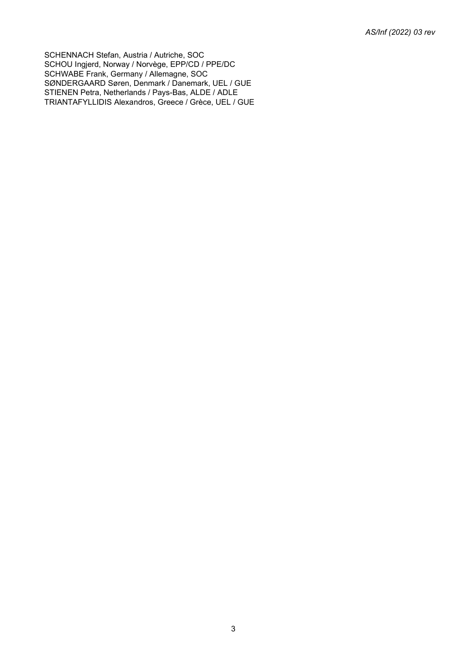SCHENNACH Stefan, Austria / Autriche, SOC SCHOU Ingjerd, Norway / Norvège, EPP/CD / PPE/DC SCHWABE Frank, Germany / Allemagne, SOC SØNDERGAARD Søren, Denmark / Danemark, UEL / GUE STIENEN Petra, Netherlands / Pays-Bas, ALDE / ADLE TRIANTAFYLLIDIS Alexandros, Greece / Grèce, UEL / GUE